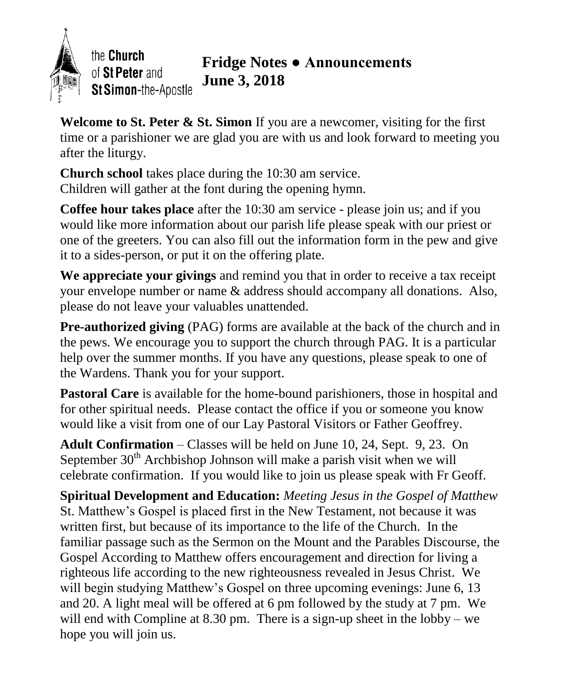

**Welcome to St. Peter & St. Simon** If you are a newcomer, visiting for the first time or a parishioner we are glad you are with us and look forward to meeting you after the liturgy.

**Church school** takes place during the 10:30 am service. Children will gather at the font during the opening hymn.

**Coffee hour takes place** after the 10:30 am service - please join us; and if you would like more information about our parish life please speak with our priest or one of the greeters. You can also fill out the information form in the pew and give it to a sides-person, or put it on the offering plate.

**We appreciate your givings** and remind you that in order to receive a tax receipt your envelope number or name & address should accompany all donations. Also, please do not leave your valuables unattended.

**Pre-authorized giving** (PAG) forms are available at the back of the church and in the pews. We encourage you to support the church through PAG. It is a particular help over the summer months. If you have any questions, please speak to one of the Wardens. Thank you for your support.

Pastoral Care is available for the home-bound parishioners, those in hospital and for other spiritual needs. Please contact the office if you or someone you know would like a visit from one of our Lay Pastoral Visitors or Father Geoffrey.

**Adult Confirmation** – Classes will be held on June 10, 24, Sept. 9, 23. On September  $30<sup>th</sup>$  Archbishop Johnson will make a parish visit when we will celebrate confirmation. If you would like to join us please speak with Fr Geoff.

**Spiritual Development and Education:** *Meeting Jesus in the Gospel of Matthew* St. Matthew's Gospel is placed first in the New Testament, not because it was written first, but because of its importance to the life of the Church. In the familiar passage such as the Sermon on the Mount and the Parables Discourse, the Gospel According to Matthew offers encouragement and direction for living a righteous life according to the new righteousness revealed in Jesus Christ. We will begin studying Matthew's Gospel on three upcoming evenings: June 6, 13 and 20. A light meal will be offered at 6 pm followed by the study at 7 pm. We will end with Compline at 8.30 pm. There is a sign-up sheet in the lobby – we hope you will join us.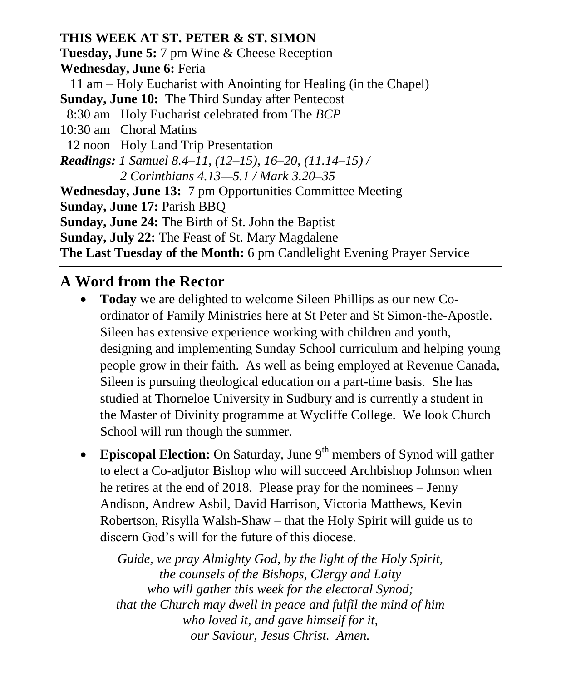**THIS WEEK AT ST. PETER & ST. SIMON Tuesday, June 5:** 7 pm Wine & Cheese Reception **Wednesday, June 6:** Feria 11 am – Holy Eucharist with Anointing for Healing (in the Chapel) **Sunday, June 10:** The Third Sunday after Pentecost 8:30 am Holy Eucharist celebrated from The *BCP* 10:30 am Choral Matins 12 noon Holy Land Trip Presentation *Readings: 1 Samuel 8.4–11, (12–15), 16–20, (11.14–15) / 2 Corinthians 4.13—5.1 / Mark 3.20–35* **Wednesday, June 13:** 7 pm Opportunities Committee Meeting **Sunday, June 17:** Parish BBQ **Sunday, June 24:** The Birth of St. John the Baptist **Sunday, July 22:** The Feast of St. Mary Magdalene **The Last Tuesday of the Month:** 6 pm Candlelight Evening Prayer Service

## **A Word from the Rector**

- **Today** we are delighted to welcome Sileen Phillips as our new Coordinator of Family Ministries here at St Peter and St Simon-the-Apostle. Sileen has extensive experience working with children and youth, designing and implementing Sunday School curriculum and helping young people grow in their faith. As well as being employed at Revenue Canada, Sileen is pursuing theological education on a part-time basis. She has studied at Thorneloe University in Sudbury and is currently a student in the Master of Divinity programme at Wycliffe College. We look Church School will run though the summer.
- Episcopal Election: On Saturday, June 9<sup>th</sup> members of Synod will gather to elect a Co-adjutor Bishop who will succeed Archbishop Johnson when he retires at the end of 2018. Please pray for the nominees – Jenny Andison, Andrew Asbil, David Harrison, Victoria Matthews, Kevin Robertson, Risylla Walsh-Shaw – that the Holy Spirit will guide us to discern God's will for the future of this diocese.

*Guide, we pray Almighty God, by the light of the Holy Spirit, the counsels of the Bishops, Clergy and Laity who will gather this week for the electoral Synod; that the Church may dwell in peace and fulfil the mind of him who loved it, and gave himself for it, our Saviour, Jesus Christ. Amen.*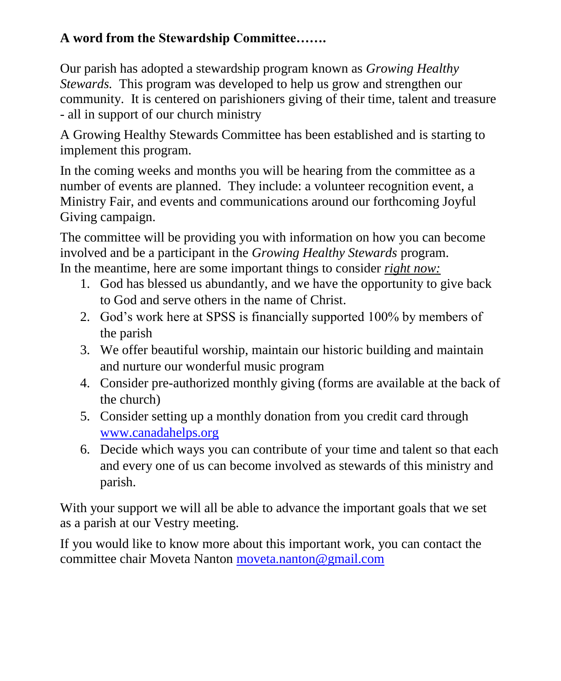## **A word from the Stewardship Committee…….**

Our parish has adopted a stewardship program known as *Growing Healthy Stewards.* This program was developed to help us grow and strengthen our community. It is centered on parishioners giving of their time, talent and treasure - all in support of our church ministry

A Growing Healthy Stewards Committee has been established and is starting to implement this program.

In the coming weeks and months you will be hearing from the committee as a number of events are planned. They include: a volunteer recognition event, a Ministry Fair, and events and communications around our forthcoming Joyful Giving campaign.

The committee will be providing you with information on how you can become involved and be a participant in the *Growing Healthy Stewards* program. In the meantime, here are some important things to consider *right now:*

- 1. God has blessed us abundantly, and we have the opportunity to give back to God and serve others in the name of Christ.
- 2. God's work here at SPSS is financially supported 100% by members of the parish
- 3. We offer beautiful worship, maintain our historic building and maintain and nurture our wonderful music program
- 4. Consider pre-authorized monthly giving (forms are available at the back of the church)
- 5. Consider setting up a monthly donation from you credit card through [www.canadahelps.org](http://www.canadahelps.org/)
- 6. Decide which ways you can contribute of your time and talent so that each and every one of us can become involved as stewards of this ministry and parish.

With your support we will all be able to advance the important goals that we set as a parish at our Vestry meeting.

If you would like to know more about this important work, you can contact the committee chair Moveta Nanton [moveta.nanton@gmail.com](mailto:moveta.nanton@gmail.com)